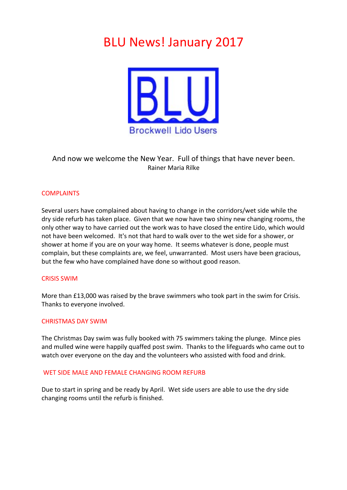# **BLU News! January 2017**



# And now we welcome the New Year. Full of things that have never been. Rainer Maria Rilke

# **COMPLAINTS**

Several users have complained about having to change in the corridors/wet side while the dry side refurb has taken place. Given that we now have two shiny new changing rooms, the only other way to have carried out the work was to have closed the entire Lido, which would not have been welcomed. It's not that hard to walk over to the wet side for a shower, or shower at home if you are on your way home. It seems whatever is done, people must complain, but these complaints are, we feel, unwarranted. Most users have been gracious, but the few who have complained have done so without good reason.

#### **CRISIS SWIM**

More than £13,000 was raised by the brave swimmers who took part in the swim for Crisis. Thanks to everyone involved.

#### **CHRISTMAS DAY SWIM**

The Christmas Day swim was fully booked with 75 swimmers taking the plunge. Mince pies and mulled wine were happily quaffed post swim. Thanks to the lifeguards who came out to watch over everyone on the day and the volunteers who assisted with food and drink.

#### WET SIDE MALE AND FEMALE CHANGING ROOM REFURB

Due to start in spring and be ready by April. Wet side users are able to use the dry side changing rooms until the refurb is finished.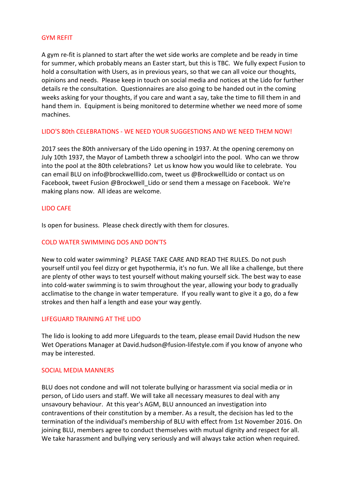## **GYM RFFIT**

A gym re-fit is planned to start after the wet side works are complete and be ready in time for summer, which probably means an Easter start, but this is TBC. We fully expect Fusion to hold a consultation with Users, as in previous years, so that we can all voice our thoughts, opinions and needs. Please keep in touch on social media and notices at the Lido for further details re the consultation. Questionnaires are also going to be handed out in the coming weeks asking for your thoughts, if you care and want a say, take the time to fill them in and hand them in. Equipment is being monitored to determine whether we need more of some machines.

# LIDO'S 80th CELEBRATIONS - WE NEED YOUR SUGGESTIONS AND WE NEED THEM NOW!

2017 sees the 80th anniversary of the Lido opening in 1937. At the opening ceremony on July 10th 1937, the Mayor of Lambeth threw a schoolgirl into the pool. Who can we throw into the pool at the 80th celebrations? Let us know how you would like to celebrate. You can email BLU on info@brockwelllido.com, tweet us @BrockwellLido or contact us on Facebook, tweet Fusion @Brockwell Lido or send them a message on Facebook. We're making plans now. All ideas are welcome.

# LIDO CAFE

Is open for business. Please check directly with them for closures.

#### COLD WATER SWIMMING DOS AND DON'TS

New to cold water swimming? PLEASE TAKE CARE AND READ THE RULES. Do not push yourself until you feel dizzy or get hypothermia, it's no fun. We all like a challenge, but there are plenty of other ways to test yourself without making yourself sick. The best way to ease into cold-water swimming is to swim throughout the year, allowing your body to gradually acclimatise to the change in water temperature. If you really want to give it a go, do a few strokes and then half a length and ease your way gently.

#### LIFFGUARD TRAINING AT THE LIDO

The lido is looking to add more Lifeguards to the team, please email David Hudson the new Wet Operations Manager at David.hudson@fusion-lifestyle.com if you know of anyone who may be interested.

#### SOCIAL MEDIA MANNERS

BLU does not condone and will not tolerate bullying or harassment via social media or in person, of Lido users and staff. We will take all necessary measures to deal with any unsavoury behaviour. At this year's AGM, BLU announced an investigation into contraventions of their constitution by a member. As a result, the decision has led to the termination of the individual's membership of BLU with effect from 1st November 2016. On joining BLU, members agree to conduct themselves with mutual dignity and respect for all. We take harassment and bullying very seriously and will always take action when required.